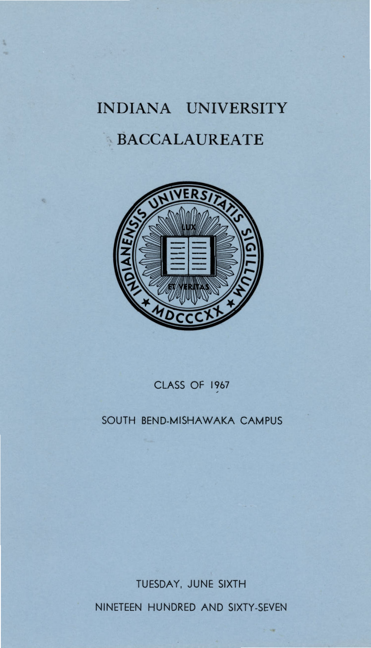# **INDIANA UNIVERSITY , :BACCALAUREATE**



CLASS OF 1967

# SOUTH BEND-MISHAWAKA CAMPUS

TUESDAY, JUNE SIXTH

NINETEEN HUNDRED AND SIXTY-SEVEN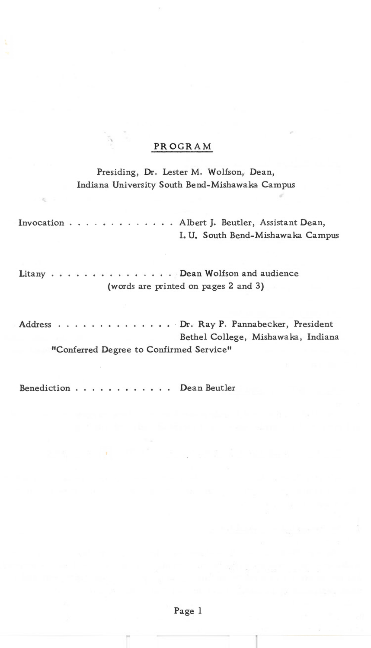# **PROGR AM**

# Presiding, Dr. Lester M. Wolfson, Dean, Indiana University South Bend-Mishawaka Campus

| Invocation Albert J. Beutler, Assistant Dean, |                                         |  | I. U. South Bend-Mishawaka Campus    |  |
|-----------------------------------------------|-----------------------------------------|--|--------------------------------------|--|
| Litany Dean Wolfson and audience              |                                         |  | (words are printed on pages 2 and 3) |  |
|                                               |                                         |  |                                      |  |
| Address Dr. Ray P. Pannabecker, President     |                                         |  |                                      |  |
|                                               |                                         |  | Bethel College, Mishawaka, Indiana   |  |
|                                               | "Conferred Degree to Confirmed Service" |  |                                      |  |
|                                               |                                         |  |                                      |  |

Benediction . . . . • . • . . . . . Dean Beutler

Page 1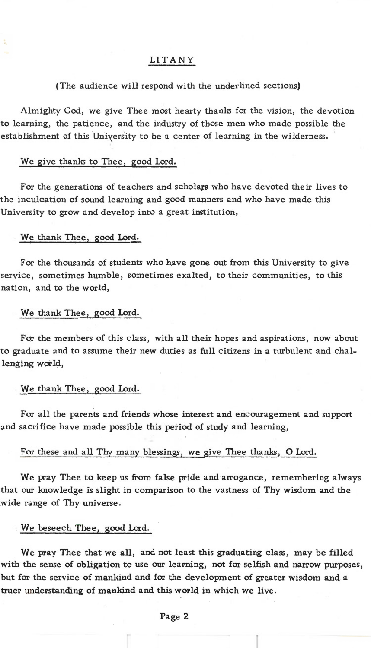#### LITANY

#### (The audience will respond with the underlined sections)

Almighty God, we give Thee most hearty thanks for the vision, the devotion to learning, the patience, and the industry of those men who made possible the establishment of this University to be a center of learning in the wilderness.

### We give thanks to Thee, good Lord.

For the generations of teachers and scholars who have devoted their lives to the inculcation of sound learning and good manners and who have made this University to grow and develop into a great institution,

#### We thank Thee, good Lord.

For the thousands of students who have gone out from this University to give service, sometimes humble, sometimes exalted, to their communities, to this nation, and to the world,

#### We thank Thee, good Lord.

For the members of this class, with all their hopes and aspirations, now about to graduate and to assume their new duties as full citizens in a turbulent and challenging world,

#### We thank Thee, good Lord.

For all the parents and friends whose interest and encouragement and support and sacrifice have made possible this period of study and learning,

#### For these and all Thy many blessings, we give Thee thanks, 0 Lord.

We pray Thee to keep us from false pride and arrogance, remembering always that our knowledge is slight in comparison to the vastness of Thy wisdom and the wide range of Thy universe.

#### We beseech Thee, good Lord.

We pray Thee that we all, and not least this graduating class, may be filled with the sense of obligation to use our learning, not for selfish and narrow purposes, but for the service of mankind and for the development of greater wisdom and a truer understanding of mankind and this world in which we live.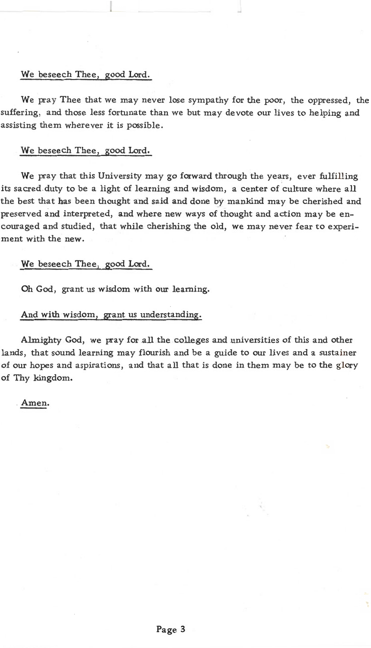#### We beseech Thee, good Lord.

We pray Thee that we may never lose sympathy for the poor, the oppressed, the suffering, and those less fortunate than we but may devote our lives to helping and assisting them wherever it is possible.

#### We beseech Thee, good Lord.

We pray that this University may go forward through the years, ever fulfilling its sacred. duty to be a light of learning and wisdom, a center of culture where all the best that has been thought and said and done by mankind may be cherished and preserved and interpreted, and where new ways of thought and action may be encouraged and studied, that while cherishing the old, we may never fear to experiment with the new.

#### We beseech Thee, good Lord.

Oh God, grant us wisdom with our learning.

#### And with wisdom, grant us understanding.

Almighty God, we pray for all the colleges and universities of this and other lands, that sound learning may flourish and be a guide to our lives and a sustainer of our hopes and aspirations, and that all that is done in them may be to the glory of Thy kingdom.

#### . Amen.